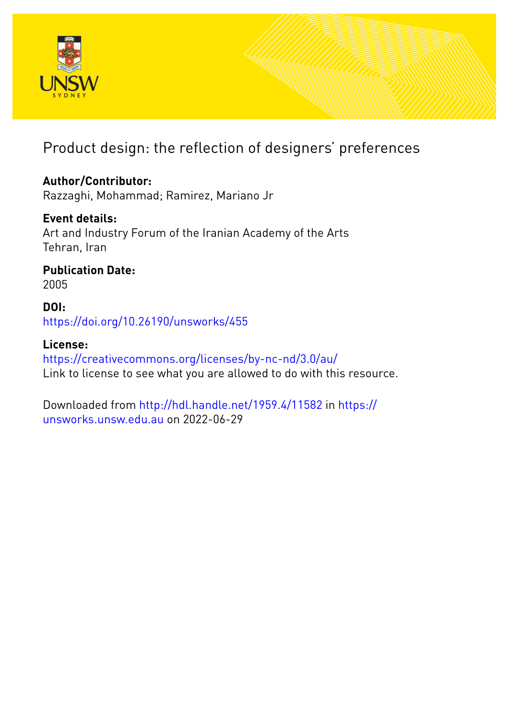

# Product design: the reflection of designers' preferences

# **Author/Contributor:**

Razzaghi, Mohammad; Ramirez, Mariano Jr

# **Event details:**

Art and Industry Forum of the Iranian Academy of the Arts Tehran, Iran

# **Publication Date:**

2005

# **DOI:** [https://doi.org/10.26190/unsworks/455](http://dx.doi.org/https://doi.org/10.26190/unsworks/455)

# **License:**

<https://creativecommons.org/licenses/by-nc-nd/3.0/au/> Link to license to see what you are allowed to do with this resource.

Downloaded from <http://hdl.handle.net/1959.4/11582> in [https://](https://unsworks.unsw.edu.au) [unsworks.unsw.edu.au](https://unsworks.unsw.edu.au) on 2022-06-29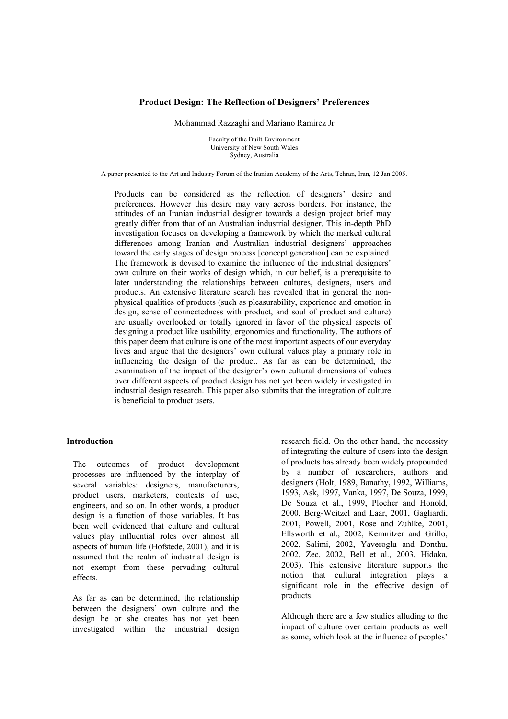#### **Product Design: The Reflection of Designersí Preferences**

Mohammad Razzaghi and Mariano Ramirez Jr

Faculty of the Built Environment University of New South Wales Sydney, Australia

A paper presented to the Art and Industry Forum of the Iranian Academy of the Arts, Tehran, Iran, 12 Jan 2005.

Products can be considered as the reflection of designers' desire and preferences. However this desire may vary across borders. For instance, the attitudes of an Iranian industrial designer towards a design project brief may greatly differ from that of an Australian industrial designer. This in-depth PhD investigation focuses on developing a framework by which the marked cultural differences among Iranian and Australian industrial designers' approaches toward the early stages of design process [concept generation] can be explained. The framework is devised to examine the influence of the industrial designers' own culture on their works of design which, in our belief, is a prerequisite to later understanding the relationships between cultures, designers, users and products. An extensive literature search has revealed that in general the nonphysical qualities of products (such as pleasurability, experience and emotion in design, sense of connectedness with product, and soul of product and culture) are usually overlooked or totally ignored in favor of the physical aspects of designing a product like usability, ergonomics and functionality. The authors of this paper deem that culture is one of the most important aspects of our everyday lives and argue that the designers' own cultural values play a primary role in influencing the design of the product. As far as can be determined, the examination of the impact of the designer's own cultural dimensions of values over different aspects of product design has not yet been widely investigated in industrial design research. This paper also submits that the integration of culture is beneficial to product users.

#### **Introduction**

The outcomes of product development processes are influenced by the interplay of several variables: designers, manufacturers, product users, marketers, contexts of use, engineers, and so on. In other words, a product design is a function of those variables. It has been well evidenced that culture and cultural values play influential roles over almost all aspects of human life (Hofstede, 2001), and it is assumed that the realm of industrial design is not exempt from these pervading cultural effects.

As far as can be determined, the relationship between the designers' own culture and the design he or she creates has not yet been investigated within the industrial design

research field. On the other hand, the necessity of integrating the culture of users into the design of products has already been widely propounded by a number of researchers, authors and designers (Holt, 1989, Banathy, 1992, Williams, 1993, Ask, 1997, Vanka, 1997, De Souza, 1999, De Souza et al., 1999, Plocher and Honold, 2000, Berg-Weitzel and Laar, 2001, Gagliardi, 2001, Powell, 2001, Rose and Zuhlke, 2001, Ellsworth et al., 2002, Kemnitzer and Grillo, 2002, Salimi, 2002, Yaveroglu and Donthu, 2002, Zec, 2002, Bell et al., 2003, Hidaka, 2003). This extensive literature supports the notion that cultural integration plays a significant role in the effective design of products.

Although there are a few studies alluding to the impact of culture over certain products as well as some, which look at the influence of peoples<sup>7</sup>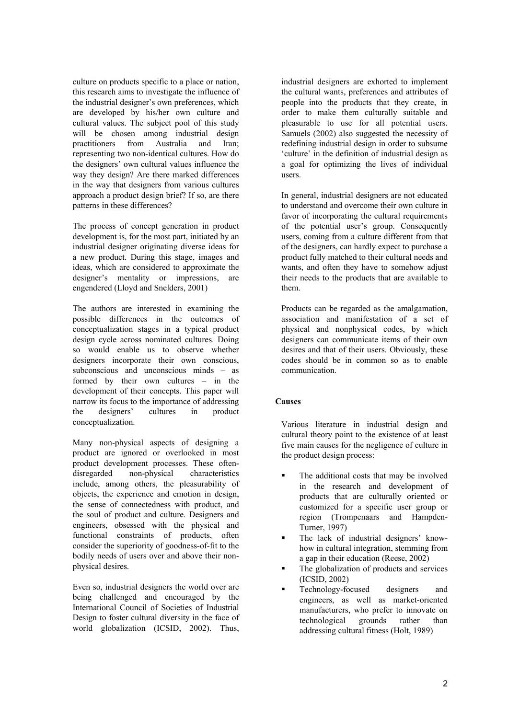culture on products specific to a place or nation, this research aims to investigate the influence of the industrial designer's own preferences, which are developed by his/her own culture and cultural values. The subject pool of this study will be chosen among industrial design practitioners from Australia and Iran; representing two non-identical cultures. How do the designers' own cultural values influence the way they design? Are there marked differences in the way that designers from various cultures approach a product design brief? If so, are there patterns in these differences?

The process of concept generation in product development is, for the most part, initiated by an industrial designer originating diverse ideas for a new product. During this stage, images and ideas, which are considered to approximate the designer's mentality or impressions, are engendered (Lloyd and Snelders, 2001)

The authors are interested in examining the possible differences in the outcomes of conceptualization stages in a typical product design cycle across nominated cultures. Doing so would enable us to observe whether designers incorporate their own conscious, subconscious and unconscious minds  $-\text{ as}$ formed by their own cultures  $-$  in the development of their concepts. This paper will narrow its focus to the importance of addressing the designers' cultures in product conceptualization.

Many non-physical aspects of designing a product are ignored or overlooked in most product development processes. These oftendisregarded non-physical characteristics include, among others, the pleasurability of objects, the experience and emotion in design, the sense of connectedness with product, and the soul of product and culture. Designers and engineers, obsessed with the physical and functional constraints of products, often consider the superiority of goodness-of-fit to the bodily needs of users over and above their nonphysical desires.

Even so, industrial designers the world over are being challenged and encouraged by the International Council of Societies of Industrial Design to foster cultural diversity in the face of world globalization (ICSID, 2002). Thus,

industrial designers are exhorted to implement the cultural wants, preferences and attributes of people into the products that they create, in order to make them culturally suitable and pleasurable to use for all potential users. Samuels (2002) also suggested the necessity of redefining industrial design in order to subsume 'culture' in the definition of industrial design as a goal for optimizing the lives of individual users.

In general, industrial designers are not educated to understand and overcome their own culture in favor of incorporating the cultural requirements of the potential user's group. Consequently users, coming from a culture different from that of the designers, can hardly expect to purchase a product fully matched to their cultural needs and wants, and often they have to somehow adjust their needs to the products that are available to them.

Products can be regarded as the amalgamation, association and manifestation of a set of physical and nonphysical codes, by which designers can communicate items of their own desires and that of their users. Obviously, these codes should be in common so as to enable communication.

## **Causes**

Various literature in industrial design and cultural theory point to the existence of at least five main causes for the negligence of culture in the product design process:

- ! The additional costs that may be involved in the research and development of products that are culturally oriented or customized for a specific user group or region (Trompenaars and Hampden-Turner, 1997)
- The lack of industrial designers' knowhow in cultural integration, stemming from a gap in their education (Reese, 2002)
- The globalization of products and services (ICSID, 2002)
- ! Technology-focused designers and engineers, as well as market-oriented manufacturers, who prefer to innovate on technological grounds rather than addressing cultural fitness (Holt, 1989)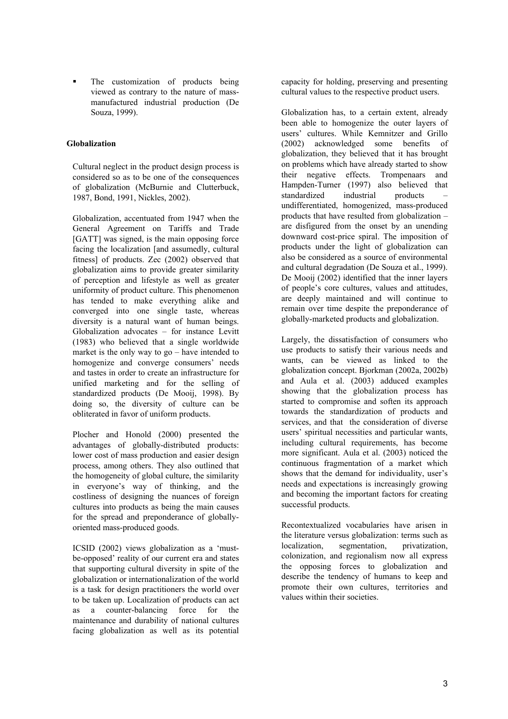The customization of products being viewed as contrary to the nature of massmanufactured industrial production (De Souza, 1999).

## **Globalization**

Cultural neglect in the product design process is considered so as to be one of the consequences of globalization (McBurnie and Clutterbuck, 1987, Bond, 1991, Nickles, 2002).

Globalization, accentuated from 1947 when the General Agreement on Tariffs and Trade [GATT] was signed, is the main opposing force facing the localization [and assumedly, cultural fitness] of products. Zec (2002) observed that globalization aims to provide greater similarity of perception and lifestyle as well as greater uniformity of product culture. This phenomenon has tended to make everything alike and converged into one single taste, whereas diversity is a natural want of human beings. Globalization advocates  $-$  for instance Levitt (1983) who believed that a single worldwide market is the only way to  $\alpha$  – have intended to homogenize and converge consumers' needs and tastes in order to create an infrastructure for unified marketing and for the selling of standardized products (De Mooij, 1998). By doing so, the diversity of culture can be obliterated in favor of uniform products.

Plocher and Honold (2000) presented the advantages of globally-distributed products: lower cost of mass production and easier design process, among others. They also outlined that the homogeneity of global culture, the similarity in everyone's way of thinking, and the costliness of designing the nuances of foreign cultures into products as being the main causes for the spread and preponderance of globallyoriented mass-produced goods.

ICSID (2002) views globalization as a 'mustbe-opposed' reality of our current era and states that supporting cultural diversity in spite of the globalization or internationalization of the world is a task for design practitioners the world over to be taken up. Localization of products can act as a counter-balancing force for the maintenance and durability of national cultures facing globalization as well as its potential

capacity for holding, preserving and presenting cultural values to the respective product users.

Globalization has, to a certain extent, already been able to homogenize the outer layers of users' cultures. While Kemnitzer and Grillo (2002) acknowledged some benefits of globalization, they believed that it has brought on problems which have already started to show their negative effects. Trompenaars and Hampden-Turner (1997) also believed that standardized industrial products undifferentiated, homogenized, mass-produced products that have resulted from globalization  $$ are disfigured from the onset by an unending downward cost-price spiral. The imposition of products under the light of globalization can also be considered as a source of environmental and cultural degradation (De Souza et al., 1999). De Mooij (2002) identified that the inner layers of people's core cultures, values and attitudes, are deeply maintained and will continue to remain over time despite the preponderance of globally-marketed products and globalization.

Largely, the dissatisfaction of consumers who use products to satisfy their various needs and wants, can be viewed as linked to the globalization concept. Bjorkman (2002a, 2002b) and Aula et al. (2003) adduced examples showing that the globalization process has started to compromise and soften its approach towards the standardization of products and services, and that the consideration of diverse users' spiritual necessities and particular wants, including cultural requirements, has become more significant. Aula et al. (2003) noticed the continuous fragmentation of a market which shows that the demand for individuality, user's needs and expectations is increasingly growing and becoming the important factors for creating successful products.

Recontextualized vocabularies have arisen in the literature versus globalization: terms such as localization, segmentation, privatization, colonization, and regionalism now all express the opposing forces to globalization and describe the tendency of humans to keep and promote their own cultures, territories and values within their societies.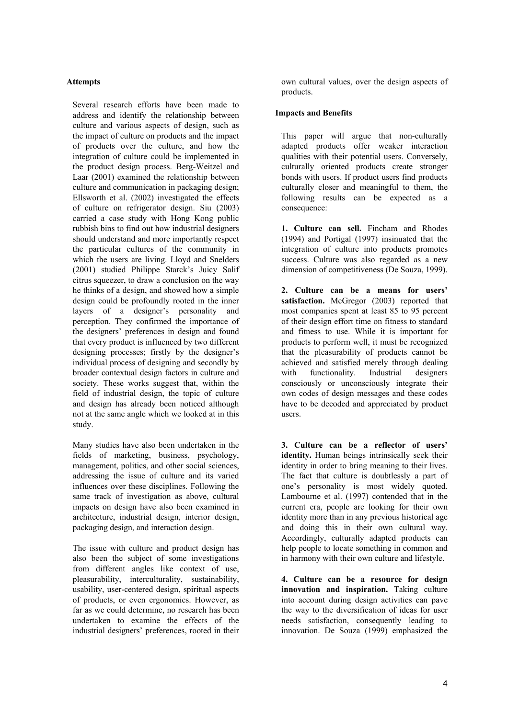### **Attempts**

Several research efforts have been made to address and identify the relationship between culture and various aspects of design, such as the impact of culture on products and the impact of products over the culture, and how the integration of culture could be implemented in the product design process. Berg-Weitzel and Laar (2001) examined the relationship between culture and communication in packaging design; Ellsworth et al. (2002) investigated the effects of culture on refrigerator design. Siu (2003) carried a case study with Hong Kong public rubbish bins to find out how industrial designers should understand and more importantly respect the particular cultures of the community in which the users are living. Lloyd and Snelders (2001) studied Philippe Starck's Juicy Salif citrus squeezer, to draw a conclusion on the way he thinks of a design, and showed how a simple design could be profoundly rooted in the inner layers of a designer's personality and perception. They confirmed the importance of the designers' preferences in design and found that every product is influenced by two different designing processes; firstly by the designer's individual process of designing and secondly by broader contextual design factors in culture and society. These works suggest that, within the field of industrial design, the topic of culture and design has already been noticed although not at the same angle which we looked at in this study.

Many studies have also been undertaken in the fields of marketing, business, psychology, management, politics, and other social sciences, addressing the issue of culture and its varied influences over these disciplines. Following the same track of investigation as above, cultural impacts on design have also been examined in architecture, industrial design, interior design, packaging design, and interaction design.

The issue with culture and product design has also been the subject of some investigations from different angles like context of use, pleasurability, interculturality, sustainability, usability, user-centered design, spiritual aspects of products, or even ergonomics. However, as far as we could determine, no research has been undertaken to examine the effects of the industrial designers' preferences, rooted in their

own cultural values, over the design aspects of products.

### **Impacts and Benefits**

This paper will argue that non-culturally adapted products offer weaker interaction qualities with their potential users. Conversely, culturally oriented products create stronger bonds with users. If product users find products culturally closer and meaningful to them, the following results can be expected as a consequence:

**1. Culture can sell.** Fincham and Rhodes (1994) and Portigal (1997) insinuated that the integration of culture into products promotes success. Culture was also regarded as a new dimension of competitiveness (De Souza, 1999).

**2. Culture can be a means for usersí**  satisfaction. McGregor (2003) reported that most companies spent at least 85 to 95 percent of their design effort time on fitness to standard and fitness to use. While it is important for products to perform well, it must be recognized that the pleasurability of products cannot be achieved and satisfied merely through dealing with functionality. Industrial designers consciously or unconsciously integrate their own codes of design messages and these codes have to be decoded and appreciated by product users.

**3. Culture can be a reflector of users' identity.** Human beings intrinsically seek their identity in order to bring meaning to their lives. The fact that culture is doubtlessly a part of one's personality is most widely quoted. Lambourne et al. (1997) contended that in the current era, people are looking for their own identity more than in any previous historical age and doing this in their own cultural way. Accordingly, culturally adapted products can help people to locate something in common and in harmony with their own culture and lifestyle.

**4. Culture can be a resource for design innovation and inspiration.** Taking culture into account during design activities can pave the way to the diversification of ideas for user needs satisfaction, consequently leading to innovation. De Souza (1999) emphasized the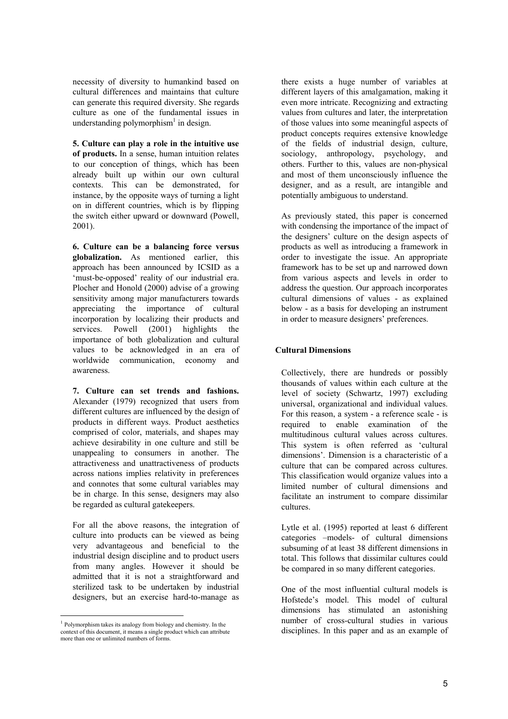necessity of diversity to humankind based on cultural differences and maintains that culture can generate this required diversity. She regards culture as one of the fundamental issues in understanding polymorphism<sup>1</sup> in design.

**5. Culture can play a role in the intuitive use of products.** In a sense, human intuition relates to our conception of things, which has been already built up within our own cultural contexts. This can be demonstrated, for instance, by the opposite ways of turning a light on in different countries, which is by flipping the switch either upward or downward (Powell, 2001).

**6. Culture can be a balancing force versus globalization.** As mentioned earlier, this approach has been announced by ICSID as a 'must-be-opposed' reality of our industrial era. Plocher and Honold (2000) advise of a growing sensitivity among major manufacturers towards appreciating the importance of cultural incorporation by localizing their products and services. Powell (2001) highlights the importance of both globalization and cultural values to be acknowledged in an era of worldwide communication, economy and awareness.

**7. Culture can set trends and fashions.**  Alexander (1979) recognized that users from different cultures are influenced by the design of products in different ways. Product aesthetics comprised of color, materials, and shapes may achieve desirability in one culture and still be unappealing to consumers in another. The attractiveness and unattractiveness of products across nations implies relativity in preferences and connotes that some cultural variables may be in charge. In this sense, designers may also be regarded as cultural gatekeepers.

For all the above reasons, the integration of culture into products can be viewed as being very advantageous and beneficial to the industrial design discipline and to product users from many angles. However it should be admitted that it is not a straightforward and sterilized task to be undertaken by industrial designers, but an exercise hard-to-manage as

 $\overline{a}$ 

there exists a huge number of variables at different layers of this amalgamation, making it even more intricate. Recognizing and extracting values from cultures and later, the interpretation of those values into some meaningful aspects of product concepts requires extensive knowledge of the fields of industrial design, culture, sociology, anthropology, psychology, and others. Further to this, values are non-physical and most of them unconsciously influence the designer, and as a result, are intangible and potentially ambiguous to understand.

As previously stated, this paper is concerned with condensing the importance of the impact of the designers' culture on the design aspects of products as well as introducing a framework in order to investigate the issue. An appropriate framework has to be set up and narrowed down from various aspects and levels in order to address the question. Our approach incorporates cultural dimensions of values - as explained below - as a basis for developing an instrument in order to measure designers' preferences.

### **Cultural Dimensions**

Collectively, there are hundreds or possibly thousands of values within each culture at the level of society (Schwartz, 1997) excluding universal, organizational and individual values. For this reason, a system - a reference scale - is required to enable examination of the multitudinous cultural values across cultures. This system is often referred as 'cultural dimensions<sup>2</sup>. Dimension is a characteristic of a culture that can be compared across cultures. This classification would organize values into a limited number of cultural dimensions and facilitate an instrument to compare dissimilar cultures.

Lytle et al. (1995) reported at least 6 different categories -models- of cultural dimensions subsuming of at least 38 different dimensions in total. This follows that dissimilar cultures could be compared in so many different categories.

One of the most influential cultural models is Hofstede's model. This model of cultural dimensions has stimulated an astonishing number of cross-cultural studies in various disciplines. In this paper and as an example of

<sup>1</sup> Polymorphism takes its analogy from biology and chemistry. In the context of this document, it means a single product which can attribute more than one or unlimited numbers of forms.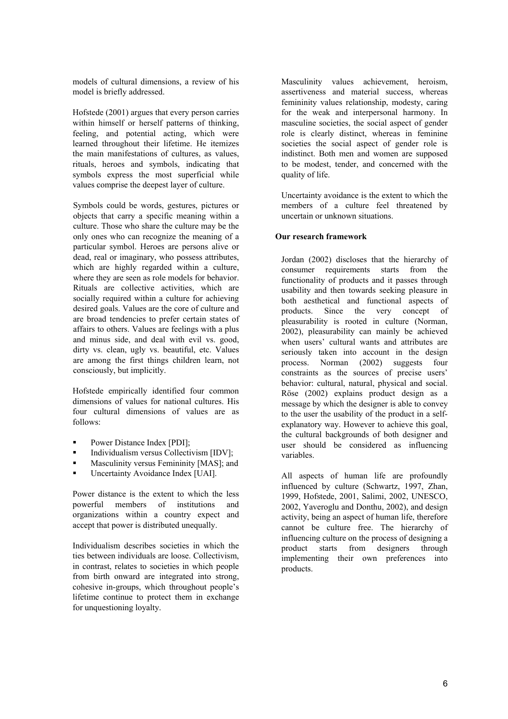models of cultural dimensions, a review of his model is briefly addressed.

Hofstede (2001) argues that every person carries within himself or herself patterns of thinking, feeling, and potential acting, which were learned throughout their lifetime. He itemizes the main manifestations of cultures, as values, rituals, heroes and symbols, indicating that symbols express the most superficial while values comprise the deepest layer of culture.

Symbols could be words, gestures, pictures or objects that carry a specific meaning within a culture. Those who share the culture may be the only ones who can recognize the meaning of a particular symbol. Heroes are persons alive or dead, real or imaginary, who possess attributes, which are highly regarded within a culture, where they are seen as role models for behavior. Rituals are collective activities, which are socially required within a culture for achieving desired goals. Values are the core of culture and are broad tendencies to prefer certain states of affairs to others. Values are feelings with a plus and minus side, and deal with evil vs. good, dirty vs. clean, ugly vs. beautiful, etc. Values are among the first things children learn, not consciously, but implicitly.

Hofstede empirically identified four common dimensions of values for national cultures. His four cultural dimensions of values are as follows:

- Power Distance Index [PDI];
- ! Individualism versus Collectivism [IDV];
- Masculinity versus Femininity [MAS]; and
- Uncertainty Avoidance Index [UAI].

Power distance is the extent to which the less powerful members of institutions and organizations within a country expect and accept that power is distributed unequally.

Individualism describes societies in which the ties between individuals are loose. Collectivism, in contrast, relates to societies in which people from birth onward are integrated into strong, cohesive in-groups, which throughout people's lifetime continue to protect them in exchange for unquestioning loyalty.

Masculinity values achievement, heroism, assertiveness and material success, whereas femininity values relationship, modesty, caring for the weak and interpersonal harmony. In masculine societies, the social aspect of gender role is clearly distinct, whereas in feminine societies the social aspect of gender role is indistinct. Both men and women are supposed to be modest, tender, and concerned with the quality of life.

Uncertainty avoidance is the extent to which the members of a culture feel threatened by uncertain or unknown situations.

### **Our research framework**

Jordan (2002) discloses that the hierarchy of consumer requirements starts from the functionality of products and it passes through usability and then towards seeking pleasure in both aesthetical and functional aspects of products. Since the very concept of pleasurability is rooted in culture (Norman, 2002), pleasurability can mainly be achieved when users' cultural wants and attributes are seriously taken into account in the design process. Norman (2002) suggests four constraints as the sources of precise users' behavior: cultural, natural, physical and social. Röse (2002) explains product design as a message by which the designer is able to convey to the user the usability of the product in a selfexplanatory way. However to achieve this goal, the cultural backgrounds of both designer and user should be considered as influencing variables.

All aspects of human life are profoundly influenced by culture (Schwartz, 1997, Zhan, 1999, Hofstede, 2001, Salimi, 2002, UNESCO, 2002, Yaveroglu and Donthu, 2002), and design activity, being an aspect of human life, therefore cannot be culture free. The hierarchy of influencing culture on the process of designing a product starts from designers through implementing their own preferences into products.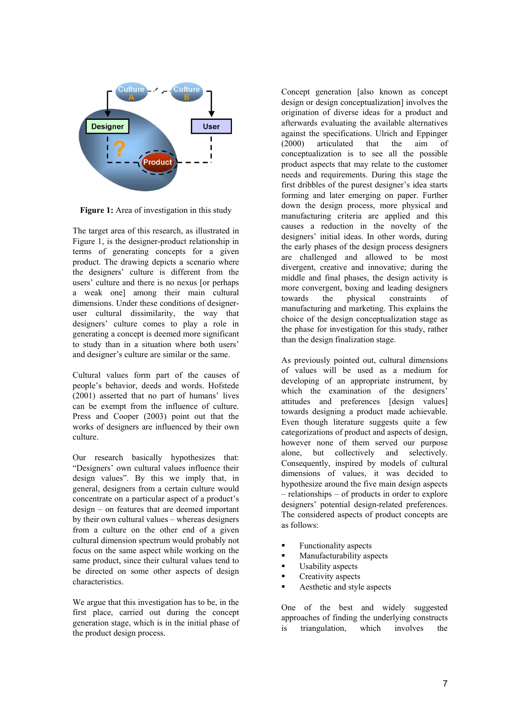

**Figure 1:** Area of investigation in this study

The target area of this research, as illustrated in Figure 1, is the designer-product relationship in terms of generating concepts for a given product. The drawing depicts a scenario where the designers' culture is different from the users' culture and there is no nexus [or perhaps] a weak one] among their main cultural dimensions. Under these conditions of designeruser cultural dissimilarity, the way that designers' culture comes to play a role in generating a concept is deemed more significant to study than in a situation where both users' and designer's culture are similar or the same.

Cultural values form part of the causes of people's behavior, deeds and words. Hofstede  $(2001)$  asserted that no part of humans' lives can be exempt from the influence of culture. Press and Cooper (2003) point out that the works of designers are influenced by their own culture.

Our research basically hypothesizes that: "Designers' own cultural values influence their design values". By this we imply that, in general, designers from a certain culture would  $\alpha$  concentrate on a particular aspect of a product's  $design - on features that are deemed important$ by their own cultural values  $-$  whereas designers from a culture on the other end of a given cultural dimension spectrum would probably not focus on the same aspect while working on the same product, since their cultural values tend to be directed on some other aspects of design characteristics.

We argue that this investigation has to be, in the first place, carried out during the concept generation stage, which is in the initial phase of the product design process.

Concept generation [also known as concept design or design conceptualization] involves the origination of diverse ideas for a product and afterwards evaluating the available alternatives against the specifications. Ulrich and Eppinger (2000) articulated that the aim of conceptualization is to see all the possible product aspects that may relate to the customer needs and requirements. During this stage the first dribbles of the purest designer's idea starts forming and later emerging on paper. Further down the design process, more physical and manufacturing criteria are applied and this causes a reduction in the novelty of the designers' initial ideas. In other words, during the early phases of the design process designers are challenged and allowed to be most divergent, creative and innovative; during the middle and final phases, the design activity is more convergent, boxing and leading designers towards the physical constraints of manufacturing and marketing. This explains the choice of the design conceptualization stage as the phase for investigation for this study, rather than the design finalization stage.

As previously pointed out, cultural dimensions of values will be used as a medium for developing of an appropriate instrument, by which the examination of the designers' attitudes and preferences [design values] towards designing a product made achievable. Even though literature suggests quite a few categorizations of product and aspects of design, however none of them served our purpose alone, but collectively and selectively. Consequently, inspired by models of cultural dimensions of values, it was decided to hypothesize around the five main design aspects  $-$  relationships  $-$  of products in order to explore designers' potential design-related preferences. The considered aspects of product concepts are as follows:

- Functionality aspects
- Manufacturability aspects
- Usability aspects
- **•** Creativity aspects
- Aesthetic and style aspects

One of the best and widely suggested approaches of finding the underlying constructs is triangulation, which involves the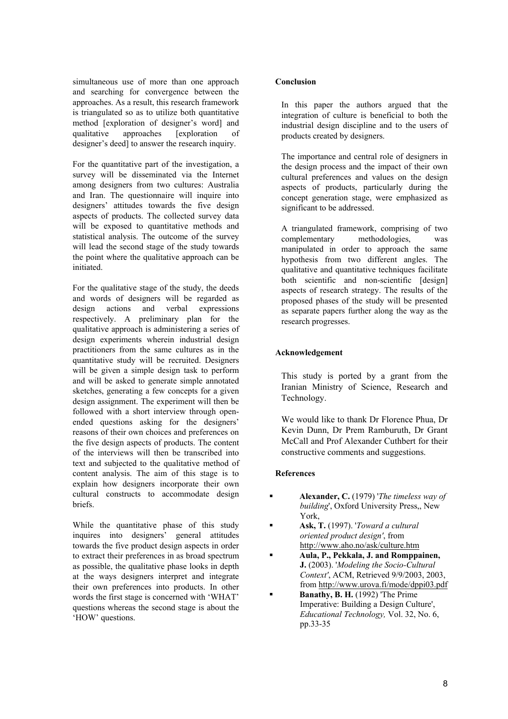simultaneous use of more than one approach and searching for convergence between the approaches. As a result, this research framework is triangulated so as to utilize both quantitative method [exploration of designer's word] and qualitative approaches [exploration of designer's deed] to answer the research inquiry.

For the quantitative part of the investigation, a survey will be disseminated via the Internet among designers from two cultures: Australia and Iran. The questionnaire will inquire into designers' attitudes towards the five design aspects of products. The collected survey data will be exposed to quantitative methods and statistical analysis. The outcome of the survey will lead the second stage of the study towards the point where the qualitative approach can be initiated.

For the qualitative stage of the study, the deeds and words of designers will be regarded as design actions and verbal expressions respectively. A preliminary plan for the qualitative approach is administering a series of design experiments wherein industrial design practitioners from the same cultures as in the quantitative study will be recruited. Designers will be given a simple design task to perform and will be asked to generate simple annotated sketches, generating a few concepts for a given design assignment. The experiment will then be followed with a short interview through openended questions asking for the designers' reasons of their own choices and preferences on the five design aspects of products. The content of the interviews will then be transcribed into text and subjected to the qualitative method of content analysis. The aim of this stage is to explain how designers incorporate their own cultural constructs to accommodate design briefs.

While the quantitative phase of this study inquires into designers' general attitudes towards the five product design aspects in order to extract their preferences in as broad spectrum as possible, the qualitative phase looks in depth at the ways designers interpret and integrate their own preferences into products. In other words the first stage is concerned with 'WHAT' questions whereas the second stage is about the HOW' questions.

### **Conclusion**

In this paper the authors argued that the integration of culture is beneficial to both the industrial design discipline and to the users of products created by designers.

The importance and central role of designers in the design process and the impact of their own cultural preferences and values on the design aspects of products, particularly during the concept generation stage, were emphasized as significant to be addressed.

A triangulated framework, comprising of two<br>complementary methodologies, was complementary methodologies, was manipulated in order to approach the same hypothesis from two different angles. The qualitative and quantitative techniques facilitate both scientific and non-scientific [design] aspects of research strategy. The results of the proposed phases of the study will be presented as separate papers further along the way as the research progresses.

# **Acknowledgement**

This study is ported by a grant from the Iranian Ministry of Science, Research and Technology.

We would like to thank Dr Florence Phua, Dr Kevin Dunn, Dr Prem Ramburuth, Dr Grant McCall and Prof Alexander Cuthbert for their constructive comments and suggestions.

## **References**

- ! **Alexander, C.** (1979) '*The timeless way of building*', Oxford University Press,, New York,
- ! **Ask, T.** (1997). '*Toward a cultural oriented product design'*, from http://www.aho.no/ask/culture.htm
- ! **Aula, P., Pekkala, J. and Romppainen, J.** (2003). '*Modeling the Socio-Cultural Context'*, ACM, Retrieved 9/9/2003, 2003, from http://www.urova.fi/mode/dppi03.pdf
- **Banathy, B. H.** (1992) 'The Prime Imperative: Building a Design Culture', *Educational Technology,* Vol. 32, No. 6, pp.33-35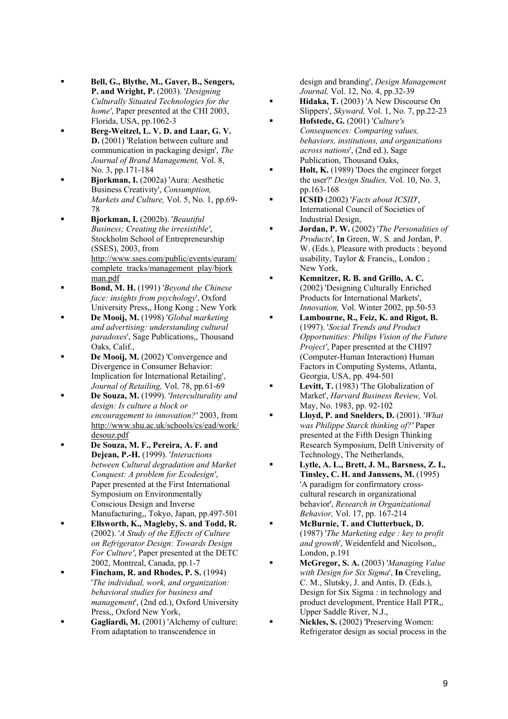- ! **Bell, G., Blythe, M., Gaver, B., Sengers, P. and Wright, P.** (2003). '*Designing Culturally Situated Technologies for the home'*, Paper presented at the CHI 2003, Florida, USA, pp.1062-3
- ! **Berg-Weitzel, L. V. D. and Laar, G. V. D.** (2001) 'Relation between culture and communication in packaging design', *The Journal of Brand Management,* Vol. 8, No. 3, pp.171-184
- ! **Bjorkman, I.** (2002a) 'Aura: Aesthetic Business Creativity', *Consumption, Markets and Culture,* Vol. 5, No. 1, pp.69- 78
- ! **Bjorkman, I.** (2002b). '*Beautiful Business; Creating the irresistible'*, Stockholm School of Entrepreneurship (SSES), 2003, from http://www.sses.com/public/events/euram/ complete\_tracks/management\_play/bjork man.pdf
- ! **Bond, M. H.** (1991) '*Beyond the Chinese face: insights from psychology*', Oxford University Press,, Hong Kong ; New York
- ! **De Mooij, M.** (1998) '*Global marketing and advertising: understanding cultural paradoxes*', Sage Publications,, Thousand Oaks, Calif.,
- ! **De Mooij, M.** (2002) 'Convergence and Divergence in Consumer Behavior: Implication for International Retailing', *Journal of Retailing,* Vol. 78, pp.61-69
- ! **De Souza, M.** (1999). '*Interculturality and design: Is culture a block or encouragement to innovation?'* 2003, from http://www.shu.ac.uk/schools/cs/ead/work/ desouz.pdf
- ! **De Souza, M. F., Pereira, A. F. and Dejean, P.-H.** (1999). '*Interactions between Cultural degradation and Market Conquest: A problem for Ecodesign'*, Paper presented at the First International Symposium on Environmentally Conscious Design and Inverse Manufacturing,, Tokyo, Japan, pp.497-501
- ! **Ellsworth, K., Magleby, S. and Todd, R.** (2002). '*A Study of the Effects of Culture on Refrigerator Design: Towards Design For Culture'*, Paper presented at the DETC 2002, Montreal, Canada, pp.1-7
- ! **Fincham, R. and Rhodes, P. S.** (1994) '*The individual, work, and organization: behavioral studies for business and management*', (2nd ed.), Oxford University Press,, Oxford New York,
- ! **Gagliardi, M.** (2001) 'Alchemy of culture: From adaptation to transcendence in

design and branding', *Design Management Journal,* Vol. 12, No. 4, pp.32-39

- ! **Hidaka, T.** (2003) 'A New Discourse On Slippers', *Skyward,* Vol. 1, No. 7, pp.22-23
- ! **Hofstede, G.** (2001) '*Culture's Consequences: Comparing values, behaviors, institutions, and organizations across nations*', (2nd ed.), Sage Publication, Thousand Oaks,
- **Holt, K.** (1989) 'Does the engineer forget the user?' *Design Studies,* Vol. 10, No. 3, pp.163-168
- ! **ICSID** (2002) '*Facts about ICSID*', International Council of Societies of Industrial Design,
- ! **Jordan, P. W.** (2002) '*The Personalities of Products*', **In** Green, W. S. and Jordan, P. W. (Eds.), Pleasure with products : beyond usability, Taylor & Francis,, London ; New York,
- ! **Kemnitzer, R. B. and Grillo, A. C.** (2002) 'Designing Culturally Enriched Products for International Markets', *Innovation,* Vol. Winter 2002, pp.50-53
- ! **Lambourne, R., Feiz, K. and Rigot, B.** (1997). '*Social Trends and Product Opportunities: Philips Vision of the Future Project'*, Paper presented at the CHI97 (Computer-Human Interaction) Human Factors in Computing Systems, Atlanta, Georgia, USA, pp. 494-501
- Levitt, T. (1983) 'The Globalization of Market', *Harvard Business Review,* Vol. May, No. 1983, pp. 92-102
- ! **Lloyd, P. and Snelders, D.** (2001). '*What was Philippe Starck thinking of?'* Paper presented at the Fifth Design Thinking Research Symposium, Delft University of Technology, The Netherlands,
- ! **Lytle, A. L., Brett, J. M., Barsness, Z. I., Tinsley, C. H. and Janssens, M.** (1995) 'A paradigm for confirmatory crosscultural research in organizational behavior', *Research in Organizational Behavior,* Vol. 17, pp. 167-214
- ! **McBurnie, T. and Clutterbuck, D.** (1987) '*The Marketing edge : key to profit and growth*', Weidenfeld and Nicolson,, London, p.191
- ! **McGregor, S. A.** (2003) '*Managing Value with Design for Six Sigma*', **In** Creveling, C. M., Slutsky, J. and Antis, D. (Eds.), Design for Six Sigma : in technology and product development, Prentice Hall PTR,, Upper Saddle River, N.J.,
- Nickles, S. (2002) 'Preserving Women: Refrigerator design as social process in the